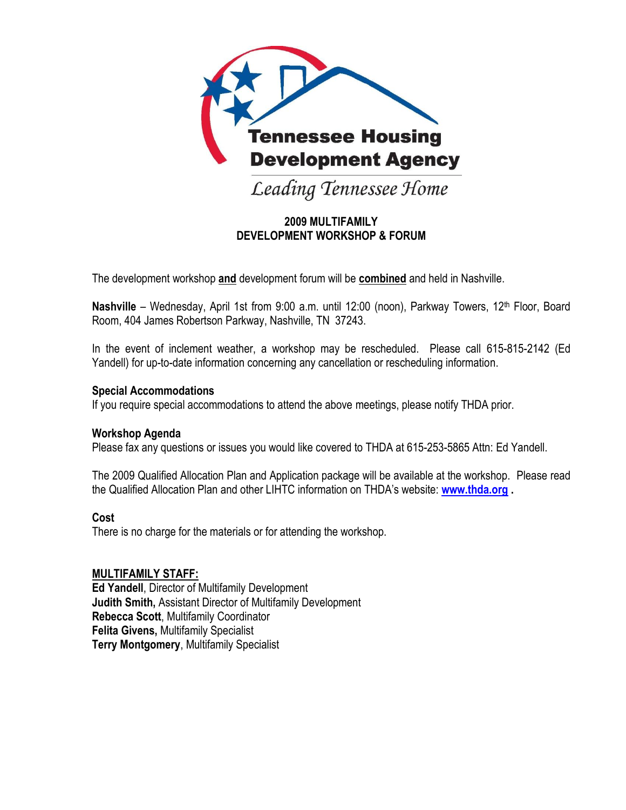

### **2009 MULTIFAMILY DEVELOPMENT WORKSHOP & FORUM**

The development workshop **and** development forum will be **combined** and held in Nashville.

Nashville – Wednesday, April 1st from 9:00 a.m. until 12:00 (noon), Parkway Towers, 12<sup>th</sup> Floor, Board Room, 404 James Robertson Parkway, Nashville, TN 37243.

In the event of inclement weather, a workshop may be rescheduled. Please call 615-815-2142 (Ed Yandell) for up-to-date information concerning any cancellation or rescheduling information.

#### **Special Accommodations**

If you require special accommodations to attend the above meetings, please notify THDA prior.

#### **Workshop Agenda**

Please fax any questions or issues you would like covered to THDA at 615-253-5865 Attn: Ed Yandell.

The 2009 Qualified Allocation Plan and Application package will be available at the workshop. Please read the Qualified Allocation Plan and other LIHTC information on THDA's website: **[www.thda.org](http://www.thda.org/) .**

#### **Cost**

There is no charge for the materials or for attending the workshop.

#### **MULTIFAMILY STAFF:**

**Ed Yandell**, Director of Multifamily Development **Judith Smith,** Assistant Director of Multifamily Development **Rebecca Scott**, Multifamily Coordinator **Felita Givens,** Multifamily Specialist **Terry Montgomery**, Multifamily Specialist